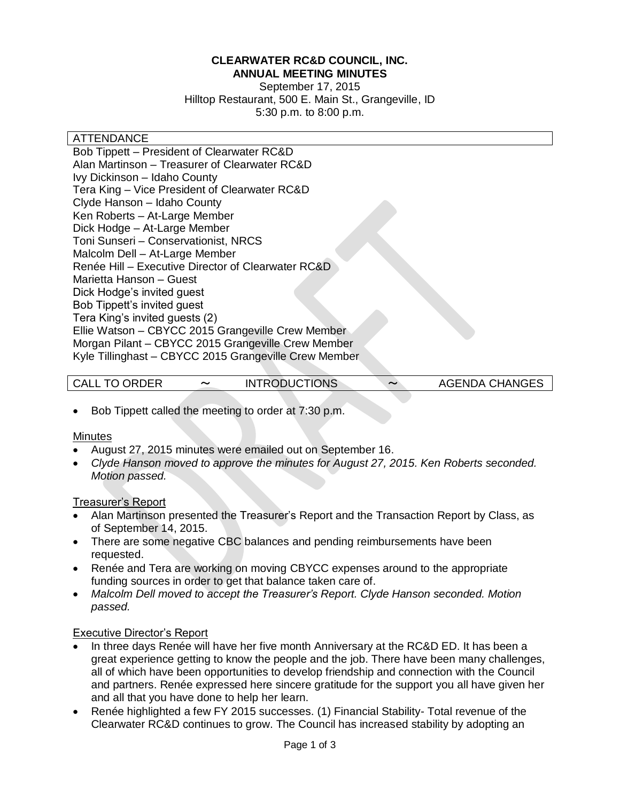#### **CLEARWATER RC&D COUNCIL, INC. ANNUAL MEETING MINUTES**

September 17, 2015 Hilltop Restaurant, 500 E. Main St., Grangeville, ID 5:30 p.m. to 8:00 p.m.

#### **ATTENDANCE**

Bob Tippett – President of Clearwater RC&D Alan Martinson – Treasurer of Clearwater RC&D Ivy Dickinson – Idaho County Tera King – Vice President of Clearwater RC&D Clyde Hanson – Idaho County Ken Roberts – At-Large Member Dick Hodge – At-Large Member Toni Sunseri – Conservationist, NRCS Malcolm Dell – At-Large Member Renée Hill – Executive Director of Clearwater RC&D Marietta Hanson – Guest Dick Hodge's invited guest Bob Tippett's invited guest Tera King's invited guests (2) Ellie Watson – CBYCC 2015 Grangeville Crew Member Morgan Pilant – CBYCC 2015 Grangeville Crew Member Kyle Tillinghast – CBYCC 2015 Grangeville Crew Member

CALL TO ORDER 〜 INTRODUCTIONS 〜 AGENDA CHANGES

Bob Tippett called the meeting to order at 7:30 p.m.

#### **Minutes**

- August 27, 2015 minutes were emailed out on September 16.
- *Clyde Hanson moved to approve the minutes for August 27, 2015. Ken Roberts seconded. Motion passed.*

#### Treasurer's Report

- Alan Martinson presented the Treasurer's Report and the Transaction Report by Class, as of September 14, 2015.
- There are some negative CBC balances and pending reimbursements have been requested.
- Renée and Tera are working on moving CBYCC expenses around to the appropriate funding sources in order to get that balance taken care of.
- *Malcolm Dell moved to accept the Treasurer's Report. Clyde Hanson seconded. Motion passed.*

#### Executive Director's Report

- In three days Renée will have her five month Anniversary at the RC&D ED. It has been a great experience getting to know the people and the job. There have been many challenges, all of which have been opportunities to develop friendship and connection with the Council and partners. Renée expressed here sincere gratitude for the support you all have given her and all that you have done to help her learn.
- Renée highlighted a few FY 2015 successes. (1) Financial Stability- Total revenue of the Clearwater RC&D continues to grow. The Council has increased stability by adopting an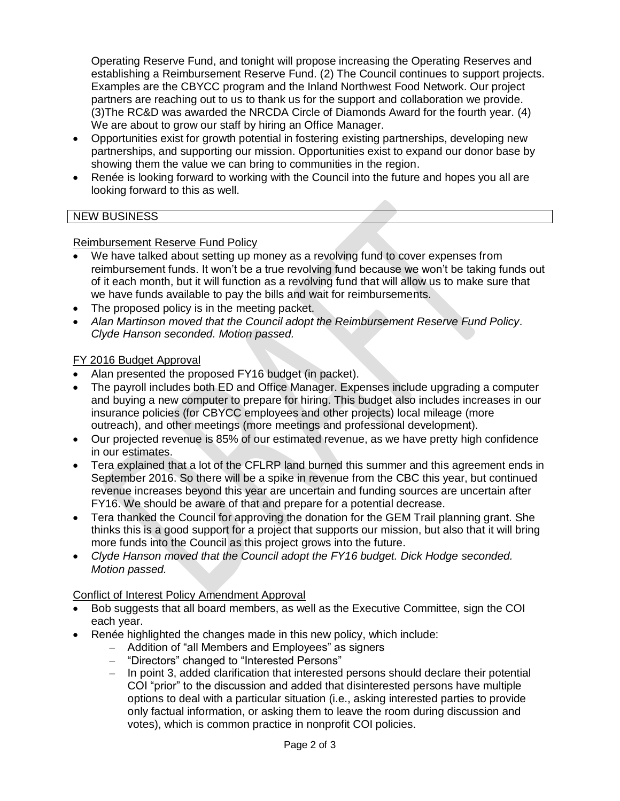Operating Reserve Fund, and tonight will propose increasing the Operating Reserves and establishing a Reimbursement Reserve Fund. (2) The Council continues to support projects. Examples are the CBYCC program and the Inland Northwest Food Network. Our project partners are reaching out to us to thank us for the support and collaboration we provide. (3)The RC&D was awarded the NRCDA Circle of Diamonds Award for the fourth year. (4) We are about to grow our staff by hiring an Office Manager.

- Opportunities exist for growth potential in fostering existing partnerships, developing new partnerships, and supporting our mission. Opportunities exist to expand our donor base by showing them the value we can bring to communities in the region.
- Renée is looking forward to working with the Council into the future and hopes you all are looking forward to this as well.

# NEW BUSINESS

#### Reimbursement Reserve Fund Policy

- We have talked about setting up money as a revolving fund to cover expenses from reimbursement funds. It won't be a true revolving fund because we won't be taking funds out of it each month, but it will function as a revolving fund that will allow us to make sure that we have funds available to pay the bills and wait for reimbursements.
- The proposed policy is in the meeting packet.
- *Alan Martinson moved that the Council adopt the Reimbursement Reserve Fund Policy. Clyde Hanson seconded. Motion passed.*

### FY 2016 Budget Approval

- Alan presented the proposed FY16 budget (in packet).
- The payroll includes both ED and Office Manager. Expenses include upgrading a computer and buying a new computer to prepare for hiring. This budget also includes increases in our insurance policies (for CBYCC employees and other projects) local mileage (more outreach), and other meetings (more meetings and professional development).
- Our projected revenue is 85% of our estimated revenue, as we have pretty high confidence in our estimates.
- Tera explained that a lot of the CFLRP land burned this summer and this agreement ends in September 2016. So there will be a spike in revenue from the CBC this year, but continued revenue increases beyond this year are uncertain and funding sources are uncertain after FY16. We should be aware of that and prepare for a potential decrease.
- Tera thanked the Council for approving the donation for the GEM Trail planning grant. She thinks this is a good support for a project that supports our mission, but also that it will bring more funds into the Council as this project grows into the future.
- *Clyde Hanson moved that the Council adopt the FY16 budget. Dick Hodge seconded. Motion passed.*

# Conflict of Interest Policy Amendment Approval

- Bob suggests that all board members, as well as the Executive Committee, sign the COI each year.
- Renée highlighted the changes made in this new policy, which include:
	- Addition of "all Members and Employees" as signers
	- "Directors" changed to "Interested Persons"
	- In point 3, added clarification that interested persons should declare their potential COI "prior" to the discussion and added that disinterested persons have multiple options to deal with a particular situation (i.e., asking interested parties to provide only factual information, or asking them to leave the room during discussion and votes), which is common practice in nonprofit COI policies.